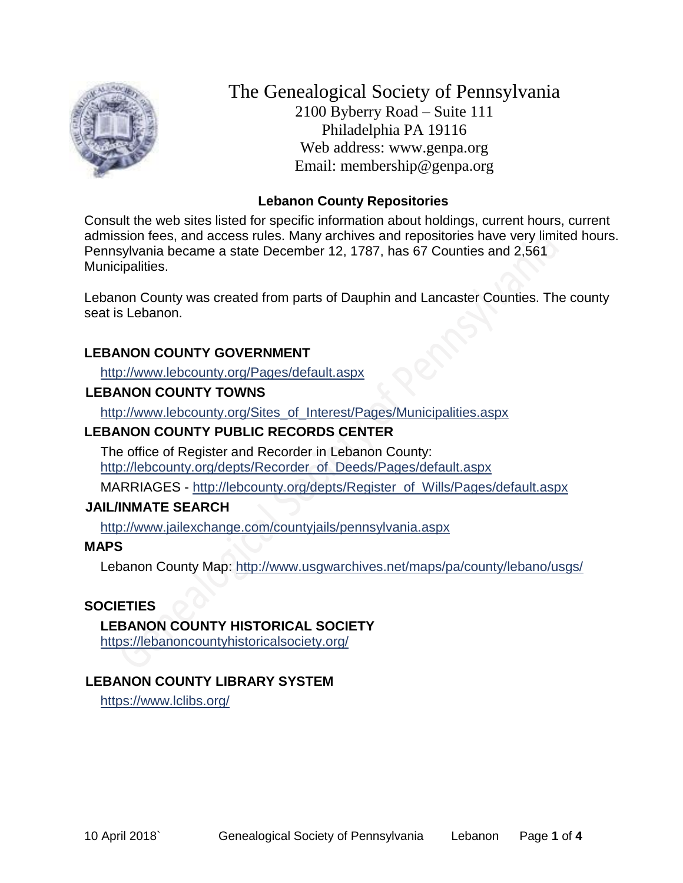

The Genealogical Society of Pennsylvania 2100 Byberry Road – Suite 111 Philadelphia PA 19116 Web address: www.genpa.org Email: membership@genpa.org

### **Lebanon County Repositories**

Consult the web sites listed for specific information about holdings, current hours, current admission fees, and access rules. Many archives and repositories have very limited hours. Pennsylvania became a state December 12, 1787, has 67 Counties and 2,561 Municipalities.

Lebanon County was created from parts of Dauphin and Lancaster Counties. The county seat is Lebanon.

### **LEBANON COUNTY GOVERNMENT**

<http://www.lebcounty.org/Pages/default.aspx>

### **LEBANON COUNTY TOWNS**

[http://www.lebcounty.org/Sites\\_of\\_Interest/Pages/Municipalities.aspx](http://www.lebcounty.org/Sites_of_Interest/Pages/Municipalities.aspx)

### **LEBANON COUNTY PUBLIC RECORDS CENTER**

The office of Register and Recorder in Lebanon County: [http://lebcounty.org/depts/Recorder\\_of\\_Deeds/Pages/default.aspx](http://lebcounty.org/depts/Recorder_of_Deeds/Pages/default.aspx)

MARRIAGES - [http://lebcounty.org/depts/Register\\_of\\_Wills/Pages/default.aspx](http://lebcounty.org/depts/Register_of_Wills/Pages/default.aspx)

#### **JAIL/INMATE SEARCH**

<http://www.jailexchange.com/countyjails/pennsylvania.aspx>

#### **MAPS**

Lebanon County Map:<http://www.usgwarchives.net/maps/pa/county/lebano/usgs/>

#### **SOCIETIES**

#### **LEBANON COUNTY HISTORICAL SOCIETY**

<https://lebanoncountyhistoricalsociety.org/>

# **LEBANON COUNTY LIBRARY SYSTEM**

<https://www.lclibs.org/>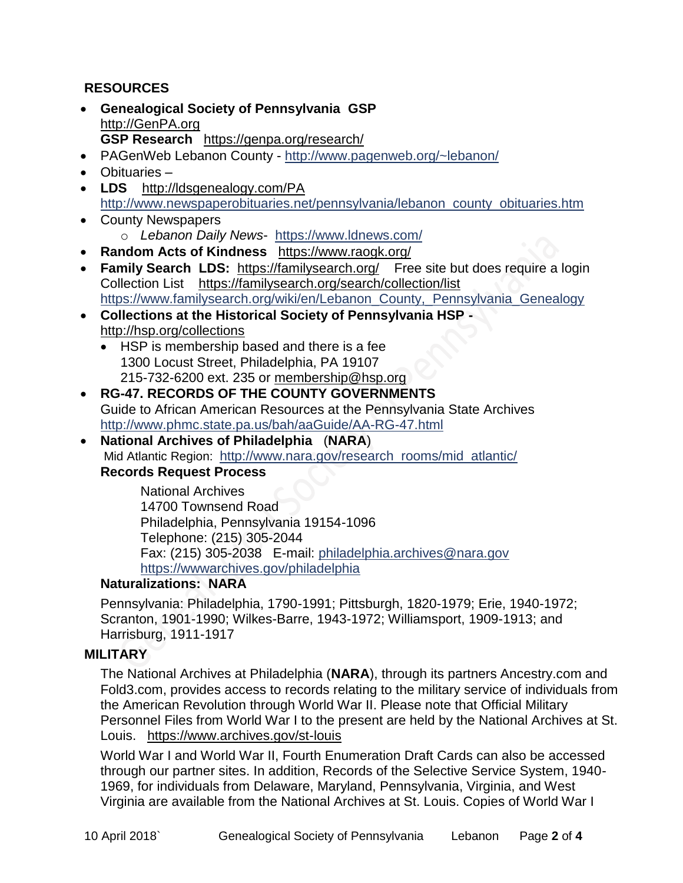# **RESOURCES**

- **Genealogical Society of Pennsylvania GSP** [http://GenPA.org](http://genpa.org/) **GSP Research** <https://genpa.org/research/>
- PAGenWeb Lebanon County <http://www.pagenweb.org/~lebanon/>
- Obituaries –
- LDS <http://ldsgenealogy.com/PA> [http://www.newspaperobituaries.net/pennsylvania/lebanon\\_county\\_obituaries.htm](http://www.newspaperobituaries.net/pennsylvania/lebanon_county_obituaries.htm)
- County Newspapers o *Lebanon Daily News*- <https://www.ldnews.com/>
- **Random Acts of Kindness** <https://www.raogk.org/>
- **Family Search LDS:** <https://familysearch.org/>Free site but does require a login Collection List <https://familysearch.org/search/collection/list> https://www.familysearch.org/wiki/en/Lebanon County, Pennsylvania Genealogy
- **Collections at the Historical Society of Pennsylvania HSP**  <http://hsp.org/collections>
	- HSP is membership based and there is a fee 1300 Locust Street, Philadelphia, PA 19107 215-732-6200 ext. 235 or [membership@hsp.org](mailto:membership@hsp.org)
- **RG-47. RECORDS OF THE COUNTY GOVERNMENTS** Guide to African American Resources at the Pennsylvania State Archives <http://www.phmc.state.pa.us/bah/aaGuide/AA-RG-47.html>
- **National Archives of Philadelphia** (**NARA**) Mid Atlantic Region: [http://www.nara.gov/research\\_rooms/mid\\_atlantic/](http://www.nara.gov/research_rooms/mid_atlantic/) **Records Request Process**

National Archives 14700 Townsend Road Philadelphia, Pennsylvania 19154-1096 Telephone: (215) 305-2044 Fax: (215) 305-2038 E-mail: [philadelphia.archives@nara.gov](mailto:philadelphia.archives@nara.gov) <https://wwwarchives.gov/philadelphia>

### **Naturalizations: NARA**

Pennsylvania: Philadelphia, 1790-1991; Pittsburgh, 1820-1979; Erie, 1940-1972; Scranton, 1901-1990; Wilkes-Barre, 1943-1972; Williamsport, 1909-1913; and Harrisburg, 1911-1917

### **MILITARY**

The National Archives at Philadelphia (**NARA**), through its partners Ancestry.com and Fold3.com, provides access to records relating to the military service of individuals from the American Revolution through World War II. Please note that Official Military Personnel Files from World War I to the present are held by the National Archives at St. Louis. <https://www.archives.gov/st-louis>

World War I and World War II, Fourth Enumeration Draft Cards can also be accessed through our partner sites. In addition, Records of the Selective Service System, 1940- 1969, for individuals from Delaware, Maryland, Pennsylvania, Virginia, and West Virginia are available from the National Archives at St. Louis. Copies of World War I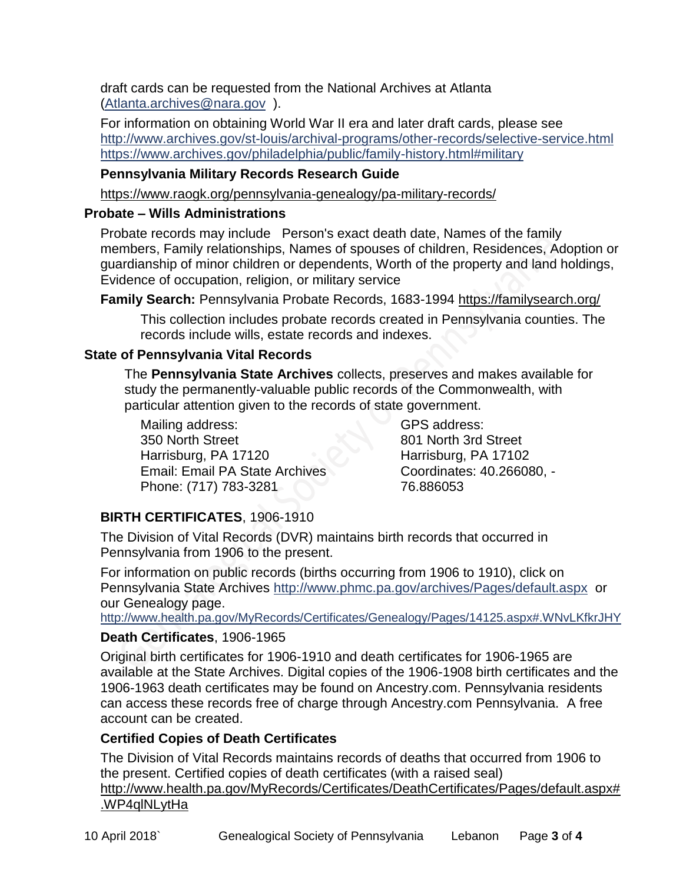draft cards can be requested from the National Archives at Atlanta [\(Atlanta.archives@nara.gov](mailto:Atlanta.archives@nara.gov) ).

For information on obtaining World War II era and later draft cards, please see <http://www.archives.gov/st-louis/archival-programs/other-records/selective-service.html> <https://www.archives.gov/philadelphia/public/family-history.html#military>

# **Pennsylvania Military Records Research Guide**

<https://www.raogk.org/pennsylvania-genealogy/pa-military-records/>

# **Probate – Wills Administrations**

Probate records may include Person's exact death date, Names of the family members, Family relationships, Names of spouses of children, Residences, Adoption or guardianship of minor children or dependents, Worth of the property and land holdings, Evidence of occupation, religion, or military service

**Family Search:** Pennsylvania Probate Records, 1683-1994 <https://familysearch.org/>

This collection includes probate records created in Pennsylvania counties. The records include wills, estate records and indexes.

# **State of Pennsylvania Vital Records**

The **Pennsylvania State Archives** collects, preserves and makes available for study the permanently-valuable public records of the Commonwealth, with particular attention given to the records of state government.

Mailing address: 350 North Street Harrisburg, PA 17120 Email: Email PA State Archives Phone: (717) 783-3281

GPS address: 801 North 3rd Street Harrisburg, PA 17102 Coordinates: 40.266080, - 76.886053

# **BIRTH CERTIFICATES**, 1906-1910

The Division of Vital Records (DVR) maintains birth records that occurred in Pennsylvania from 1906 to the present.

For information on public records (births occurring from 1906 to 1910), click on Pennsylvania State Archives <http://www.phmc.pa.gov/archives/Pages/default.aspx>or our Genealogy page.

<http://www.health.pa.gov/MyRecords/Certificates/Genealogy/Pages/14125.aspx#.WNvLKfkrJHY>

# **Death Certificates**, 1906-1965

Original birth certificates for 1906-1910 and death certificates for 1906-1965 are available at the State Archives. Digital copies of the 1906-1908 birth certificates and the 1906-1963 death certificates may be found on Ancestry.com. Pennsylvania residents can access these records free of charge through Ancestry.com Pennsylvania. A free account can be created.

# **Certified Copies of Death Certificates**

The Division of Vital Records maintains records of deaths that occurred from 1906 to the present. Certified copies of death certificates (with a raised seal) http://www.health.pa.gov/MyRecords/Certificates/DeathCertificates/Pages/default.aspx# .WP4qlNLytHa